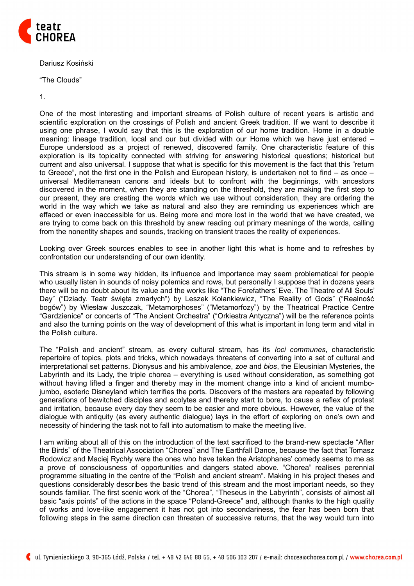

Dariusz Kosiński

"The Clouds"

1.

One of the most interesting and important streams of Polish culture of recent years is artistic and scientific exploration on the crossings of Polish and ancient Greek tradition. If we want to describe it using one phrase, I would say that this is the exploration of our home tradition. Home in a double meaning: lineage tradition, local and our but divided with our Home which we have just entered – Europe understood as a project of renewed, discovered family. One characteristic feature of this exploration is its topicality connected with striving for answering historical questions; historical but current and also universal. I suppose that what is specific for this movement is the fact that this "return to Greece", not the first one in the Polish and European history, is undertaken not to find – as once – universal Mediterranean canons and ideals but to confront with the beginnings, with ancestors discovered in the moment, when they are standing on the threshold, they are making the first step to our present, they are creating the words which we use without consideration, they are ordering the world in the way which we take as natural and also they are reminding us experiences which are effaced or even inaccessible for us. Being more and more lost in the world that we have created, we are trying to come back on this threshold by anew reading out primary meanings of the words, calling from the nonentity shapes and sounds, tracking on transient traces the reality of experiences.

Looking over Greek sources enables to see in another light this what is home and to refreshes by confrontation our understanding of our own identity.

This stream is in some way hidden, its influence and importance may seem problematical for people who usually listen in sounds of noisy polemics and rows, but personally I suppose that in dozens years there will be no doubt about its value and the works like "The Forefathers' Eve. The Theatre of All Souls' Day" ("Dziady. Teatr święta zmarłych") by Leszek Kolankiewicz, "The Reality of Gods" ("Realność bogów") by Wiesław Juszczak, "Metamorphoses" ("Metamorfozy") by the Theatrical Practice Centre "Gardzienice" or concerts of "The Ancient Orchestra" ("Orkiestra Antyczna") will be the reference points and also the turning points on the way of development of this what is important in long term and vital in the Polish culture.

The "Polish and ancient" stream, as every cultural stream, has its *loci communes*, characteristic repertoire of topics, plots and tricks, which nowadays threatens of converting into a set of cultural and interpretational set patterns. Dionysus and his ambivalence, *zoe* and *bios*, the Eleusinian Mysteries, the Labyrinth and its Lady, the triple chorea – everything is used without consideration, as something got without having lifted a finger and thereby may in the moment change into a kind of ancient mumbojumbo, esoteric Disneyland which terrifies the ports. Discovers of the masters are repeated by following generations of bewitched disciples and acolytes and thereby start to bore, to cause a reflex of protest and irritation, because every day they seem to be easier and more obvious. However, the value of the dialogue with antiquity (as every authentic dialogue) lays in the effort of exploring on one's own and necessity of hindering the task not to fall into automatism to make the meeting live.

I am writing about all of this on the introduction of the text sacrificed to the brand-new spectacle "After the Birds" of the Theatrical Association "Chorea" and The Earthfall Dance, because the fact that Tomasz Rodowicz and Maciej Rychły were the ones who have taken the Aristophanes' comedy seems to me as a prove of consciousness of opportunities and dangers stated above. "Chorea" realises perennial programme situating in the centre of the "Polish and ancient stream". Making in his project theses and questions considerably describes the basic trend of this stream and the most important needs, so they sounds familiar. The first scenic work of the "Chorea", "Theseus in the Labyrinth", consists of almost all basic "axis points" of the actions in the space "Poland-Greece" and, although thanks to the high quality of works and love-like engagement it has not got into secondariness, the fear has been born that following steps in the same direction can threaten of successive returns, that the way would turn into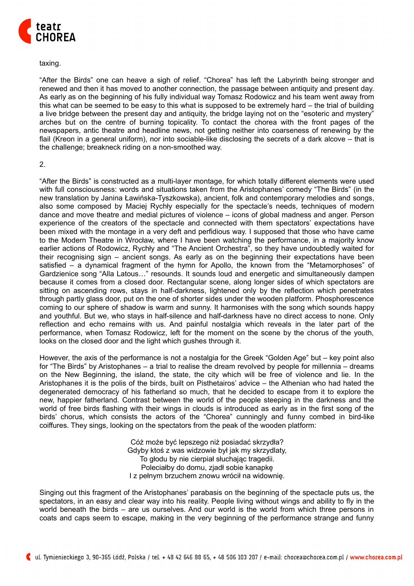

## taxing.

"After the Birds" one can heave a sigh of relief. "Chorea" has left the Labyrinth being stronger and renewed and then it has moved to another connection, the passage between antiquity and present day. As early as on the beginning of his fully individual way Tomasz Rodowicz and his team went away from this what can be seemed to be easy to this what is supposed to be extremely hard – the trial of building a live bridge between the present day and antiquity, the bridge laying not on the "esoteric and mystery" arches but on the centre of burning topicality. To contact the chorea with the front pages of the newspapers, antic theatre and headline news, not getting neither into coarseness of renewing by the flail (Kreon in a general uniform), nor into sociable-like disclosing the secrets of a dark alcove – that is the challenge; breakneck riding on a non-smoothed way.

## 2.

"After the Birds" is constructed as a multi-layer montage, for which totally different elements were used with full consciousness: words and situations taken from the Aristophanes' comedy "The Birds" (in the new translation by Janina Ławińska-Tyszkowska), ancient, folk and contemporary melodies and songs, also some composed by Maciej Rychły especially for the spectacle's needs, techniques of modern dance and move theatre and medial pictures of violence – icons of global madness and anger. Person experience of the creators of the spectacle and connected with them spectators' expectations have been mixed with the montage in a very deft and perfidious way. I supposed that those who have came to the Modern Theatre in Wrocław, where I have been watching the performance, in a majority know earlier actions of Rodowicz, Rychły and "The Ancient Orchestra", so they have undoubtedly waited for their recognising sign – ancient songs. As early as on the beginning their expectations have been satisfied – a dynamical fragment of the hymn for Apollo, the known from the "Metamorphoses" of Gardzienice song "Alla Latous…" resounds. It sounds loud and energetic and simultaneously dampen because it comes from a closed door. Rectangular scene, along longer sides of which spectators are sitting on ascending rows, stays in half-darkness, lightened only by the reflection which penetrates through partly glass door, put on the one of shorter sides under the wooden platform. Phosphorescence coming to our sphere of shadow is warm and sunny. It harmonises with the song which sounds happy and youthful. But we, who stays in half-silence and half-darkness have no direct access to none. Only reflection and echo remains with us. And painful nostalgia which reveals in the later part of the performance, when Tomasz Rodowicz, left for the moment on the scene by the chorus of the youth, looks on the closed door and the light which gushes through it.

However, the axis of the performance is not a nostalgia for the Greek "Golden Age" but – key point also for "The Birds" by Aristophanes – a trial to realise the dream revolved by people for millennia – dreams on the New Beginning, the island, the state, the city which will be free of violence and lie. In the Aristophanes it is the polis of the birds, built on Pisthetairos' advice – the Athenian who had hated the degenerated democracy of his fatherland so much, that he decided to escape from it to explore the new, happier fatherland. Contrast between the world of the people steeping in the darkness and the world of free birds flashing with their wings in clouds is introduced as early as in the first song of the birds' chorus, which consists the actors of the "Chorea" cunningly and funny combed in bird-like coiffures. They sings, looking on the spectators from the peak of the wooden platform:

> Cóż może być lepszego niż posiadać skrzydła? Gdyby ktoś z was widzowie był jak my skrzydlaty, To głodu by nie cierpiał słuchając tragedii. Poleciałby do domu, zjadł sobie kanapkę I z pełnym brzuchem znowu wrócił na widownię.

Singing out this fragment of the Aristophanes' parabasis on the beginning of the spectacle puts us, the spectators, in an easy and clear way into his reality. People living without wings and ability to fly in the world beneath the birds – are us ourselves. And our world is the world from which three persons in coats and caps seem to escape, making in the very beginning of the performance strange and funny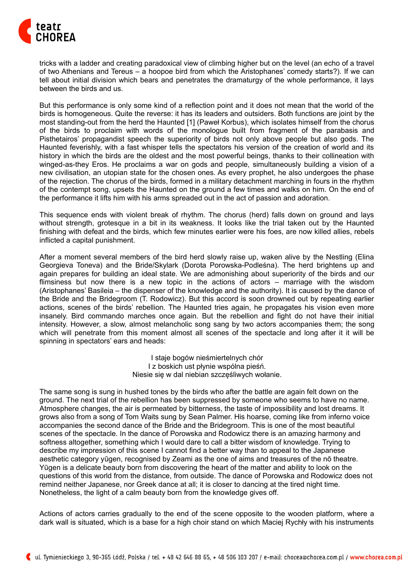

tricks with a ladder and creating paradoxical view of climbing higher but on the level (an echo of a travel of two Athenians and Tereus – a hoopoe bird from which the Aristophanes' comedy starts?). If we can tell about initial division which bears and penetrates the dramaturgy of the whole performance, it lays between the birds and us.

But this performance is only some kind of a reflection point and it does not mean that the world of the birds is homogeneous. Quite the reverse: it has its leaders and outsiders. Both functions are joint by the most standing-out from the herd the Haunted [1] (Paweł Korbus), which isolates himself from the chorus of the birds to proclaim with words of the monologue built from fragment of the parabasis and Pisthetairos' propagandist speech the superiority of birds not only above people but also gods. The Haunted feverishly, with a fast whisper tells the spectators his version of the creation of world and its history in which the birds are the oldest and the most powerful beings, thanks to their collineation with winged-as-they Eros. He proclaims a war on gods and people, simultaneously building a vision of a new civilisation, an utopian state for the chosen ones. As every prophet, he also undergoes the phase of the rejection. The chorus of the birds, formed in a military detachment marching in fours in the rhythm of the contempt song, upsets the Haunted on the ground a few times and walks on him. On the end of the performance it lifts him with his arms spreaded out in the act of passion and adoration.

This sequence ends with violent break of rhythm. The chorus (herd) falls down on ground and lays without strength, grotesque in a bit in its weakness. It looks like the trial taken out by the Haunted finishing with defeat and the birds, which few minutes earlier were his foes, are now killed allies, rebels inflicted a capital punishment.

After a moment several members of the bird herd slowly raise up, waken alive by the Nestling (Elina Georgieva Toneva) and the Bride/Skylark (Dorota Porowska-Podleśna). The herd brightens up and again prepares for building an ideal state. We are admonishing about superiority of the birds and our flimsiness but now there is a new topic in the actions of actors – marriage with the wisdom (Aristophanes' Basileia – the dispenser of the knowledge and the authority). It is caused by the dance of the Bride and the Bridegroom (T. Rodowicz). But this accord is soon drowned out by repeating earlier actions, scenes of the birds' rebellion. The Haunted tries again, he propagates his vision even more insanely. Bird commando marches once again. But the rebellion and fight do not have their initial intensity. However, a slow, almost melancholic song sang by two actors accompanies them; the song which will penetrate from this moment almost all scenes of the spectacle and long after it it will be spinning in spectators' ears and heads:

> I staje bogów nieśmiertelnych chór I z boskich ust płynie wspólna pieśń. Niesie się w dal niebian szczęśliwych wołanie.

The same song is sung in hushed tones by the birds who after the battle are again felt down on the ground. The next trial of the rebellion has been suppressed by someone who seems to have no name. Atmosphere changes, the air is permeated by bitterness, the taste of impossibility and lost dreams. It grows also from a song of Tom Waits sung by Sean Palmer. His hoarse, coming like from inferno voice accompanies the second dance of the Bride and the Bridegroom. This is one of the most beautiful scenes of the spectacle. In the dance of Porowska and Rodowicz there is an amazing harmony and softness altogether, something which I would dare to call a bitter wisdom of knowledge. Trying to describe my impression of this scene I cannot find a better way than to appeal to the Japanese aesthetic category yūgen, recognised by Zeami as the one of aims and treasures of the nō theatre. Yūgen is a delicate beauty born from discovering the heart of the matter and ability to look on the questions of this world from the distance, from outside. The dance of Porowska and Rodowicz does not remind neither Japanese, nor Greek dance at all; it is closer to dancing at the tired night time. Nonetheless, the light of a calm beauty born from the knowledge gives off.

Actions of actors carries gradually to the end of the scene opposite to the wooden platform, where a dark wall is situated, which is a base for a high choir stand on which Maciej Rychły with his instruments